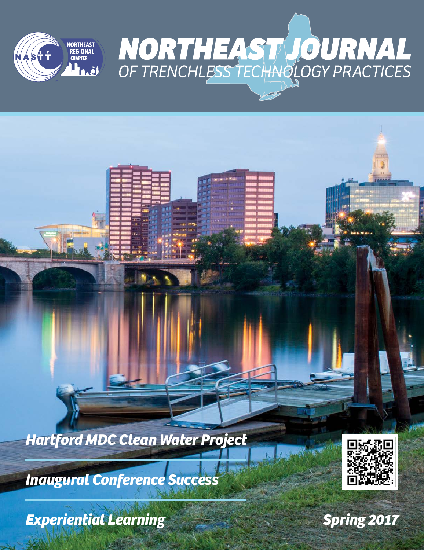

*Hartford MDC Clean Water Project*

*Inaugural Conference Success*

*Experiential Learning*



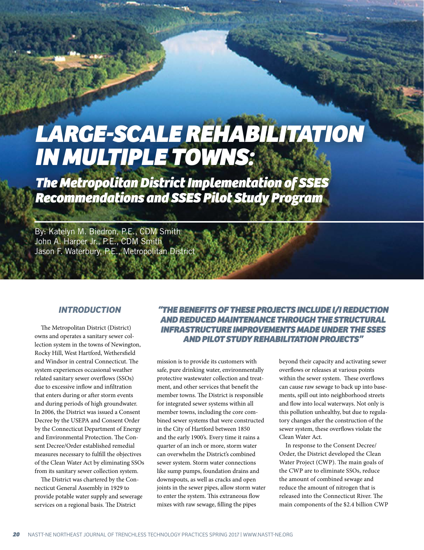# *LARGE-SCALE REHABILITATION IN MULTIPLE TOWNS:*

*The Metropolitan District Implementation of SSES Recommendations and SSES Pilot Study Program*

By: Katelyn M. Biedron, P.E., CDM Smith John A. Harper Jr., P.E., CDM Smith Jason F. Waterbury, P.E., Metropolitan District

#### *INTRODUCTION*

The Metropolitan District (District) owns and operates a sanitary sewer collection system in the towns of Newington, Rocky Hill, West Hartford, Wethersfield and Windsor in central Connecticut. The system experiences occasional weather related sanitary sewer overflows (SSOs) due to excessive inflow and infiltration that enters during or after storm events and during periods of high groundwater. In 2006, the District was issued a Consent Decree by the USEPA and Consent Order by the Connecticut Department of Energy and Environmental Protection. The Consent Decree/Order established remedial measures necessary to fulfill the objectives of the Clean Water Act by eliminating SSOs from its sanitary sewer collection system.

The District was chartered by the Connecticut General Assembly in 1929 to provide potable water supply and sewerage services on a regional basis. The District

## *"THE BENEFITS OF THESE PROJECTS INCLUDE I/I REDUCTION AND REDUCED MAINTENANCE THROUGH THE STRUCTURAL INFRASTRUCTURE IMPROVEMENTS MADE UNDER THE SSES AND PILOT STUDY REHABILITATION PROJECTS"*

mission is to provide its customers with safe, pure drinking water, environmentally protective wastewater collection and treatment, and other services that benefit the member towns. The District is responsible for integrated sewer systems within all member towns, including the core combined sewer systems that were constructed in the City of Hartford between 1850 and the early 1900's. Every time it rains a quarter of an inch or more, storm water can overwhelm the District's combined sewer system. Storm water connections like sump pumps, foundation drains and downspouts, as well as cracks and open joints in the sewer pipes, allow storm water to enter the system. This extraneous flow mixes with raw sewage, filling the pipes

beyond their capacity and activating sewer overflows or releases at various points within the sewer system. These overflows can cause raw sewage to back up into basements, spill out into neighborhood streets and flow into local waterways. Not only is this pollution unhealthy, but due to regulatory changes after the construction of the sewer system, these overflows violate the Clean Water Act.

In response to the Consent Decree/ Order, the District developed the Clean Water Project (CWP). The main goals of the CWP are to eliminate SSOs, reduce the amount of combined sewage and reduce the amount of nitrogen that is released into the Connecticut River. The main components of the \$2.4 billion CWP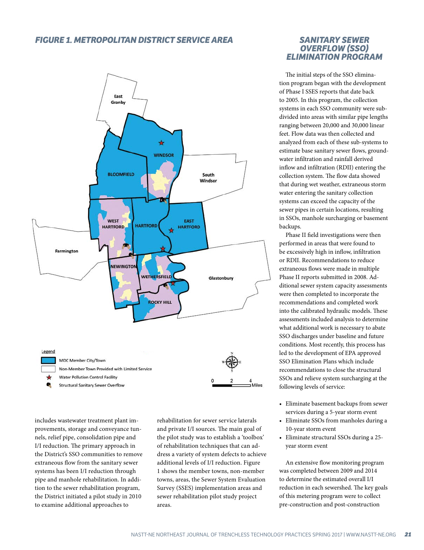## *FIGURE 1. METROPOLITAN DISTRICT SERVICE AREA*



includes wastewater treatment plant improvements, storage and conveyance tunnels, relief pipe, consolidation pipe and I/I reduction. The primary approach in the District's SSO communities to remove extraneous flow from the sanitary sewer systems has been I/I reduction through pipe and manhole rehabilitation. In addition to the sewer rehabilitation program, the District initiated a pilot study in 2010 to examine additional approaches to

rehabilitation for sewer service laterals and private I/I sources. The main goal of the pilot study was to establish a 'toolbox' of rehabilitation techniques that can address a variety of system defects to achieve additional levels of I/I reduction. Figure 1 shows the member towns, non-member towns, areas, the Sewer System Evaluation Survey (SSES) implementation areas and sewer rehabilitation pilot study project areas.

### *SANITARY SEWER OVERFLOW (SSO) ELIMINATION PROGRAM*

The initial steps of the SSO elimination program began with the development of Phase I SSES reports that date back to 2005. In this program, the collection systems in each SSO community were subdivided into areas with similar pipe lengths ranging between 20,000 and 30,000 linear feet. Flow data was then collected and analyzed from each of these sub-systems to estimate base sanitary sewer flows, groundwater infiltration and rainfall derived inflow and infiltration (RDII) entering the collection system. The flow data showed that during wet weather, extraneous storm water entering the sanitary collection systems can exceed the capacity of the sewer pipes in certain locations, resulting in SSOs, manhole surcharging or basement backups.

Phase II field investigations were then performed in areas that were found to be excessively high in inflow, infiltration or RDII. Recommendations to reduce extraneous flows were made in multiple Phase II reports submitted in 2008. Additional sewer system capacity assessments were then completed to incorporate the recommendations and completed work into the calibrated hydraulic models. These assessments included analysis to determine what additional work is necessary to abate SSO discharges under baseline and future conditions. Most recently, this process has led to the development of EPA approved SSO Elimination Plans which include recommendations to close the structural SSOs and relieve system surcharging at the following levels of service:

- Eliminate basement backups from sewer services during a 5-year storm event
- Eliminate SSOs from manholes during a 10-year storm event
- Eliminate structural SSOs during a 25 year storm event

An extensive flow monitoring program was completed between 2009 and 2014 to determine the estimated overall I/I reduction in each sewershed. The key goals of this metering program were to collect pre-construction and post-construction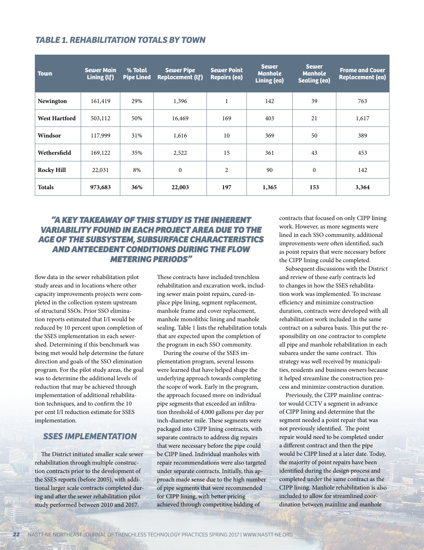| <b>TABLE 1. REHABILITATION TOTALS BY TOWN</b> |  |
|-----------------------------------------------|--|
|-----------------------------------------------|--|

| <b>Town</b>          | <b>Sewer Main</b><br>Lining (Lf) | % Total<br><b>Pipe Lined</b> | <b>Sewer Pipe</b><br><b>Replacement (lf)</b> | <b>Sewer Point</b><br><b>Repairs (ea)</b> | <b>Sewer</b><br><b>Manhole</b><br>Lining (ea) | <b>Sewer</b><br><b>Manhole</b><br><b>Sealing (ea)</b> | <b>Frame and Cover</b><br><b>Replacement (ea)</b> |
|----------------------|----------------------------------|------------------------------|----------------------------------------------|-------------------------------------------|-----------------------------------------------|-------------------------------------------------------|---------------------------------------------------|
| Newington            | 161,419                          | 29%                          | 1,396                                        | $\mathbf{1}$                              | 142                                           | 39                                                    | 763                                               |
| <b>West Hartford</b> | 503,112                          | 50%                          | 16,469                                       | 169                                       | 403                                           | 21                                                    | 1,617                                             |
| Windsor              | 117,999                          | 31%                          | 1,616                                        | 10                                        | 369                                           | 50                                                    | 389                                               |
| Wethersfield         | 169,122                          | 35%                          | 2,522                                        | 15                                        | 361                                           | 43                                                    | 453                                               |
| <b>Rocky Hill</b>    | 22,031                           | 8%                           | $\mathbf{0}$                                 | $\overline{2}$                            | 90                                            | $\mathbf{0}$                                          | 142                                               |
| <b>Totals</b>        | 973,683                          | 36%                          | 22,003                                       | 197                                       | 1,365                                         | 153                                                   | 3,364                                             |

## *"A KEY TAKEAWAY OF THIS STUDY IS THE INHERENT VARIABILITY FOUND IN EACH PROJECT AREA DUE TO THE AGE OF THE SUBSYSTEM, SUBSURFACE CHARACTERISTICS AND ANTECEDENT CONDITIONS DURING THE FLOW METERING PERIODS"*

flow data in the sewer rehabilitation pilot study areas and in locations where other capacity improvements projects were completed in the collection system upstream of structural SSOs. Prior SSO elimination reports estimated that I/I would be reduced by 10 percent upon completion of the SSES implementation in each sewershed. Determining if this benchmark was being met would help determine the future direction and goals of the SSO elimination program. For the pilot study areas, the goal was to determine the additional levels of reduction that may be achieved through implementation of additional rehabilitation techniques, and to confirm the 10 per cent I/I reduction estimate for SSES implementation.

## *SSES IMPLEMENTATION*

The District initiated smaller scale sewer rehabilitation through multiple construction contracts prior to the development of the SSES reports (before 2005), with additional larger scale contracts completed during and after the sewer rehabilitation pilot study performed between 2010 and 2017.

These contracts have included trenchless rehabilitation and excavation work, including sewer main point repairs, cured-inplace pipe lining, segment replacement, manhole frame and cover replacement, manhole monolithic lining and manhole sealing. Table 1 lists the rehabilitation totals that are expected upon the completion of the program in each SSO community.

During the course of the SSES implementation program, several lessons were learned that have helped shape the underlying approach towards completing the scope of work. Early in the program, the approach focused more on individual pipe segments that exceeded an infiltration threshold of 4,000 gallons per day per inch-diameter mile. These segments were packaged into CIPP lining contracts, with separate contracts to address dig repairs that were necessary before the pipe could be CIPP lined. Individual manholes with repair recommendations were also targeted under separate contracts. Initially, this approach made sense due to the high number of pipe segments that were recommended for CIPP lining, with better pricing achieved through competitive bidding of

contracts that focused on only CIPP lining work. However, as more segments were lined in each SSO community, additional improvements were often identified, such as point repairs that were necessary before the CIPP lining could be completed.

Subsequent discussions with the District and review of these early contracts led to changes in how the SSES rehabilitation work was implemented. To increase efficiency and minimize construction duration, contracts were developed with all rehabilitation work included in the same contract on a subarea basis. This put the responsibility on one contractor to complete all pipe and manhole rehabilitation in each subarea under the same contract. This strategy was well received by municipalities, residents and business owners because it helped streamline the construction process and minimize construction duration.

Previously, the CIPP mainline contractor would CCTV a segment in advance of CIPP lining and determine that the segment needed a point repair that was not previously identified. The point repair would need to be completed under a different contract and then the pipe would be CIPP lined at a later date. Today, the majority of point repairs have been identified during the design process and completed under the same contract as the CIPP lining. Manhole rehabilitation is also included to allow for streamlined coordination between mainline and manhole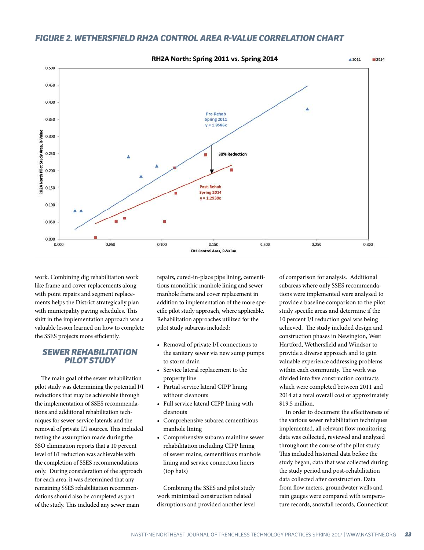## *FIGURE 2. WETHERSFIELD RH2A CONTROL AREA R-VALUE CORRELATION CHART*



work. Combining dig rehabilitation work like frame and cover replacements along with point repairs and segment replacements helps the District strategically plan with municipality paving schedules. This shift in the implementation approach was a valuable lesson learned on how to complete the SSES projects more efficiently.

### *SEWER REHABILITATION PILOT STUDY*

The main goal of the sewer rehabilitation pilot study was determining the potential I/I reductions that may be achievable through the implementation of SSES recommendations and additional rehabilitation techniques for sewer service laterals and the removal of private I/I sources. This included testing the assumption made during the SSO elimination reports that a 10 percent level of I/I reduction was achievable with the completion of SSES recommendations only. During consideration of the approach for each area, it was determined that any remaining SSES rehabilitation recommendations should also be completed as part of the study. This included any sewer main

repairs, cured-in-place pipe lining, cementitious monolithic manhole lining and sewer manhole frame and cover replacement in addition to implementation of the more specific pilot study approach, where applicable. Rehabilitation approaches utilized for the pilot study subareas included:

- Removal of private I/I connections to the sanitary sewer via new sump pumps to storm drain
- Service lateral replacement to the property line
- Partial service lateral CIPP lining without cleanouts
- Full service lateral CIPP lining with cleanouts
- Comprehensive subarea cementitious manhole lining
- Comprehensive subarea mainline sewer rehabilitation including CIPP lining of sewer mains, cementitious manhole lining and service connection liners (top hats)

Combining the SSES and pilot study work minimized construction related disruptions and provided another level

of comparison for analysis. Additional subareas where only SSES recommendations were implemented were analyzed to provide a baseline comparison to the pilot study specific areas and determine if the 10 percent I/I reduction goal was being achieved. The study included design and construction phases in Newington, West Hartford, Wethersfield and Windsor to provide a diverse approach and to gain valuable experience addressing problems within each community. The work was divided into five construction contracts which were completed between 2011 and 2014 at a total overall cost of approximately \$19.5 million.

In order to document the effectiveness of the various sewer rehabilitation techniques implemented, all relevant flow monitoring data was collected, reviewed and analyzed throughout the course of the pilot study. This included historical data before the study began, data that was collected during the study period and post-rehabilitation data collected after construction. Data from flow meters, groundwater wells and rain gauges were compared with temperature records, snowfall records, Connecticut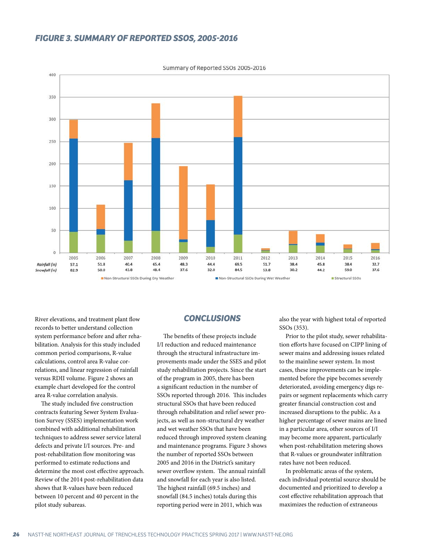## *FIGURE 3. SUMMARY OF REPORTED SSOS, 2005-2016*



Summary of Reported SSOs 2005-2016

River elevations, and treatment plant flow records to better understand collection system performance before and after rehabilitation. Analysis for this study included common period comparisons, R-value calculations, control area R-value correlations, and linear regression of rainfall versus RDII volume. Figure 2 shows an example chart developed for the control area R-value correlation analysis.

The study included five construction contracts featuring Sewer System Evaluation Survey (SSES) implementation work combined with additional rehabilitation techniques to address sewer service lateral defects and private I/I sources. Pre- and post-rehabilitation flow monitoring was performed to estimate reductions and determine the most cost effective approach. Review of the 2014 post-rehabilitation data shows that R-values have been reduced between 10 percent and 40 percent in the pilot study subareas.

## *CONCLUSIONS*

The benefits of these projects include I/I reduction and reduced maintenance through the structural infrastructure improvements made under the SSES and pilot study rehabilitation projects. Since the start of the program in 2005, there has been a significant reduction in the number of SSOs reported through 2016. This includes structural SSOs that have been reduced through rehabilitation and relief sewer projects, as well as non-structural dry weather and wet weather SSOs that have been reduced through improved system cleaning and maintenance programs. Figure 3 shows the number of reported SSOs between 2005 and 2016 in the District's sanitary sewer overflow system. The annual rainfall and snowfall for each year is also listed. The highest rainfall (69.5 inches) and snowfall (84.5 inches) totals during this reporting period were in 2011, which was

also the year with highest total of reported SSOs (353).

Prior to the pilot study, sewer rehabilitation efforts have focused on CIPP lining of sewer mains and addressing issues related to the mainline sewer system. In most cases, these improvements can be implemented before the pipe becomes severely deteriorated, avoiding emergency digs repairs or segment replacements which carry greater financial construction cost and increased disruptions to the public. As a higher percentage of sewer mains are lined in a particular area, other sources of I/I may become more apparent, particularly when post-rehabilitation metering shows that R-values or groundwater infiltration rates have not been reduced.

In problematic areas of the system, each individual potential source should be documented and prioritized to develop a cost effective rehabilitation approach that maximizes the reduction of extraneous